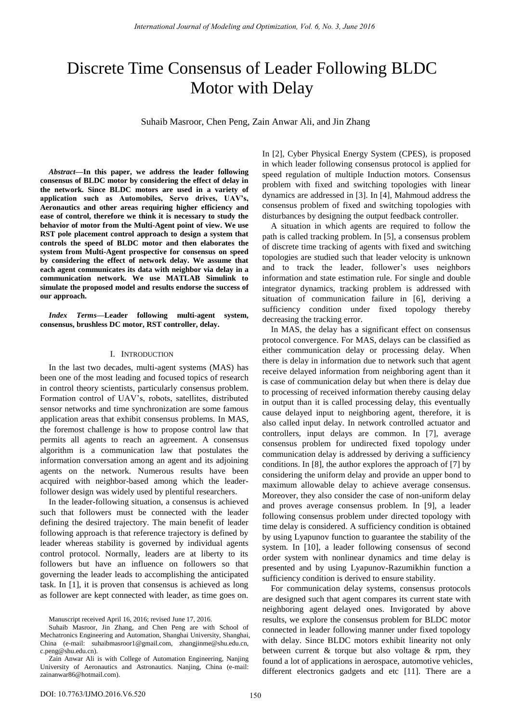# Discrete Time Consensus of Leader Following BLDC Motor with Delay

Suhaib Masroor, Chen Peng, Zain Anwar Ali, and Jin Zhang

*Abstract***—In this paper, we address the leader following consensus of BLDC motor by considering the effect of delay in the network. Since BLDC motors are used in a variety of application such as Automobiles, Servo drives, UAV's, Aeronautics and other areas requiring higher efficiency and ease of control, therefore we think it is necessary to study the behavior of motor from the Multi-Agent point of view. We use RST pole placement control approach to design a system that controls the speed of BLDC motor and then elaborates the system from Multi-Agent prospective for consensus on speed by considering the effect of network delay. We assume that each agent communicates its data with neighbor via delay in a communication network. We use MATLAB Simulink to simulate the proposed model and results endorse the success of our approach.** 

*Index Terms***—Leader following multi-agent system, consensus, brushless DC motor, RST controller, delay.** 

#### I. INTRODUCTION

In the last two decades, multi-agent systems (MAS) has been one of the most leading and focused topics of research in control theory scientists, particularly consensus problem. Formation control of UAV's, robots, satellites, distributed sensor networks and time synchronization are some famous application areas that exhibit consensus problems. In MAS, the foremost challenge is how to propose control law that permits all agents to reach an agreement. A consensus algorithm is a communication law that postulates the information conversation among an agent and its adjoining agents on the network. Numerous results have been acquired with neighbor-based among which the leaderfollower design was widely used by plentiful researchers.

In the leader-following situation, a consensus is achieved such that followers must be connected with the leader defining the desired trajectory. The main benefit of leader following approach is that reference trajectory is defined by leader whereas stability is governed by individual agents control protocol. Normally, leaders are at liberty to its followers but have an influence on followers so that governing the leader leads to accomplishing the anticipated task. In [1], it is proven that consensus is achieved as long as follower are kept connected with leader, as time goes on.

In [2], Cyber Physical Energy System (CPES), is proposed in which leader following consensus protocol is applied for speed regulation of multiple Induction motors. Consensus problem with fixed and switching topologies with linear dynamics are addressed in [3]. In [4], Mahmoud address the consensus problem of fixed and switching topologies with disturbances by designing the output feedback controller.

A situation in which agents are required to follow the path is called tracking problem. In [5], a consensus problem of discrete time tracking of agents with fixed and switching topologies are studied such that leader velocity is unknown and to track the leader, follower's uses neighbors information and state estimation rule. For single and double integrator dynamics, tracking problem is addressed with situation of communication failure in [6], deriving a sufficiency condition under fixed topology thereby decreasing the tracking error.

In MAS, the delay has a significant effect on consensus protocol convergence. For MAS, delays can be classified as either communication delay or processing delay. When there is delay in information due to network such that agent receive delayed information from neighboring agent than it is case of communication delay but when there is delay due to processing of received information thereby causing delay in output than it is called processing delay, this eventually cause delayed input to neighboring agent, therefore, it is also called input delay. In network controlled actuator and controllers, input delays are common. In [7], average consensus problem for undirected fixed topology under communication delay is addressed by deriving a sufficiency conditions. In [8], the author explores the approach of [7] by considering the uniform delay and provide an upper bond to maximum allowable delay to achieve average consensus. Moreover, they also consider the case of non-uniform delay and proves average consensus problem. In [9], a leader following consensus problem under directed topology with time delay is considered. A sufficiency condition is obtained by using Lyapunov function to guarantee the stability of the system. In [10], a leader following consensus of second order system with nonlinear dynamics and time delay is presented and by using Lyapunov-Razumikhin function a sufficiency condition is derived to ensure stability.

For communication delay systems, consensus protocols are designed such that agent compares its current state with neighboring agent delayed ones. Invigorated by above results, we explore the consensus problem for BLDC motor connected in leader following manner under fixed topology with delay. Since BLDC motors exhibit linearity not only between current & torque but also voltage & rpm, they found a lot of applications in aerospace, automotive vehicles, different electronics gadgets and etc [11]. There are a

Manuscript received April 16, 2016; revised June 17, 2016.

Suhaib Masroor, Jin Zhang, and Chen Peng are with School of Mechatronics Engineering and Automation, Shanghai University, Shanghai, China (e-mail: [suhaibmasroor1@gmail.com,](mailto:suhaibmasroor1@gmail.com) zhangjinme@shu.edu.cn, c.peng@shu.edu.cn).

Zain Anwar Ali is with College of Automation Engineering, Nanjing University of Aeronautics and Astronautics. Nanjing, China (e-mail: [zainanwar86@hotmail.com\)](mailto:zainanwar86@hotmail.com).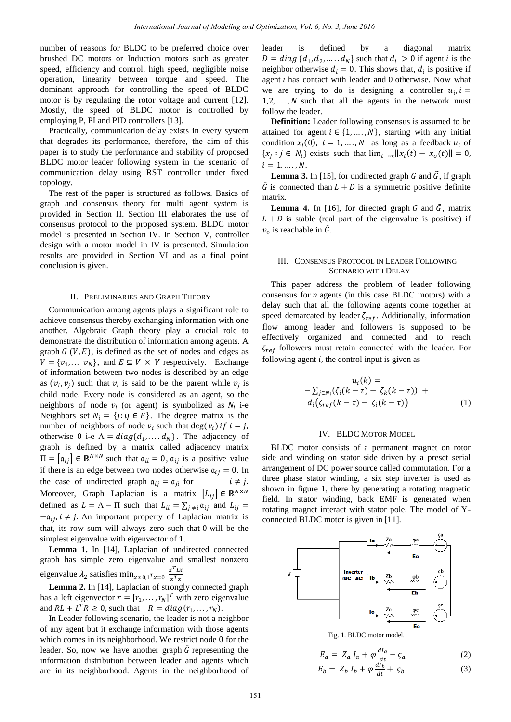number of reasons for BLDC to be preferred choice over brushed DC motors or Induction motors such as greater speed, efficiency and control, high speed, negligible noise operation, linearity between torque and speed. The dominant approach for controlling the speed of BLDC motor is by regulating the rotor voltage and current [12]. Mostly, the speed of BLDC motor is controlled by employing P, PI and PID controllers [13].

Practically, communication delay exists in every system that degrades its performance, therefore, the aim of this paper is to study the performance and stability of proposed BLDC motor leader following system in the scenario of communication delay using RST controller under fixed topology.

The rest of the paper is structured as follows. Basics of graph and consensus theory for multi agent system is provided in Section II. Section III elaborates the use of consensus protocol to the proposed system. BLDC motor model is presented in Section IV. In Section V, controller design with a motor model in IV is presented. Simulation results are provided in Section VI and as a final point conclusion is given.

#### II. PRELIMINARIES AND GRAPH THEORY

Communication among agents plays a significant role to achieve consensus thereby exchanging information with one another. Algebraic Graph theory play a crucial role to demonstrate the distribution of information among agents. A graph  $G(V, E)$ , is defined as the set of nodes and edges as  $V = \{v_1, \dots, v_N\}$ , and  $E \subseteq V \times V$  respectively. Exchange of information between two nodes is described by an edge as  $(v_i, v_j)$  such that  $v_i$  is said to be the parent while  $v_i$  is child node. Every node is considered as an agent, so the neighbors of node  $v_i$  (or agent) is symbolized as  $N_i$  i-e Neighbors set  $N_i = \{j : ij \in E\}$ . The degree matrix is the number of neighbors of node  $v_i$  such that otherwise 0 i-e  $\Lambda = diag\{d_1, \ldots, d_N\}$ . The adjacency of graph is defined by a matrix called adjacency matrix  $\Pi = [\alpha_{ij}] \in \mathbb{R}^{N \times N}$  such that  $\alpha_{ii} = 0$ ,  $\alpha_{ii}$  is a positive value if there is an edge between two nodes otherwise  $a_{ij} = 0$ . In the case of undirected graph  $a_{ij} = a_{ji}$  for Moreover, Graph Laplacian is a matrix  $[L_{ij}] \in \mathbb{R}^{N \times N}$ defined as  $L = \Lambda - \Pi$  such that  $L_{ii} = \sum_{j \neq i} \alpha_{ij}$  and  $L_{ij} =$  $-a_{ij}$ ,  $i \neq j$ . An important property of Laplacian matrix is that, its row sum will always zero such that  $0$  will be the simplest eigenvalue with eigenvector of 1. International Journal of Modeling and Optimization, Vol. 6, No. 3, June 2016<br>
DC to be regioner whose substitute is a derived in the context of the context of the stress<br>
context of the stress of BLDC we are regioner of t

**Lemma 1.** In [14], Laplacian of undirected connected graph has simple zero eigenvalue and smallest nonzero eigenvalue  $\lambda_2$  satisfies min<sub>x≠0.1</sub> $r_{x=0}$   $\frac{x^T}{x^T}$  $x^T$ 

**Lemma 2.** In [14], Laplacian of strongly connected graph has a left eigenvector  $r = [r_1, ..., r_N]^T$  with zero eigenvalue and  $RL + L^T R \ge 0$ , such that  $R = diag(r_1,$ 

In Leader following scenario, the leader is not a neighbor of any agent but it exchange information with those agents which comes in its neighborhood. We restrict node 0 for the leader. So, now we have another graph  $\tilde{G}$  representing the information distribution between leader and agents which are in its neighborhood. Agents in the neighborhood of leader is defined by a diagonal matrix  $D = diag\{d_1, d_2, \dots, d_N\}$  such that  $d_i > 0$  if agent *i* is the neighbor otherwise  $d_i = 0$ . This shows that,  $d_i$  is positive if agent  $i$  has contact with leader and  $0$  otherwise. Now what we are trying to do is designing a controller  $u_i$ ,  $1, 2, \ldots, N$  such that all the agents in the network must follow the leader.

**Definition:** Leader following consensus is assumed to be attained for agent  $i \in \{1, ..., N\}$ , starting with any initial condition  $x_i(0)$ ,  $i = 1, ..., N$  as long as a feedback  $u_i$  of  $\{x_i : j \in N_i\}$  exists such that  $\lim_{t \to \infty} ||x_i||$  $i = 1, ..., N$ .

**Lemma 3.** In [15], for undirected graph G and  $\tilde{G}$ , if graph  $\tilde{G}$  is connected than  $L + D$  is a symmetric positive definite matrix.

**Lemma 4.** In [16], for directed graph  $G$  and  $\tilde{G}$ , matrix  $L + D$  is stable (real part of the eigenvalue is positive) if  $v_0$  is reachable in G.

## III. CONSENSUS PROTOCOL IN LEADER FOLLOWING SCENARIO WITH DELAY

This paper address the problem of leader following consensus for  $n$  agents (in this case BLDC motors) with a delay such that all the following agents come together at speed demarcated by leader  $\zeta_{ref}$ . Additionally, information flow among leader and followers is supposed to be effectively organized and connected and to reach  $\zeta_{ref}$  followers must retain connected with the leader. For following agent  $i$ , the control input is given as

$$
u_i(k) =
$$
  

$$
-\sum_{j \in N_i} (\zeta_i(k-\tau) - \zeta_k(k-\tau)) +
$$
  

$$
d_i(\zeta_{ref}(k-\tau) - \zeta_i(k-\tau))
$$
 (1)

# IV. BLDC MOTOR MODEL

BLDC motor consists of a permanent magnet on rotor side and winding on stator side driven by a preset serial arrangement of DC power source called commutation. For a three phase stator winding, a six step inverter is used as shown in figure 1, there by generating a rotating magnetic field. In stator winding, back EMF is generated when rotating magnet interact with stator pole. The model of Yconnected BLDC motor is given in [11].



$$
E_a = Z_a I_a + \varphi \frac{a a}{d t} + \varsigma_a
$$
  
\n
$$
E_b = Z_b I_b + \varphi \frac{d I_b}{d t} + \varsigma_b
$$
\n(2)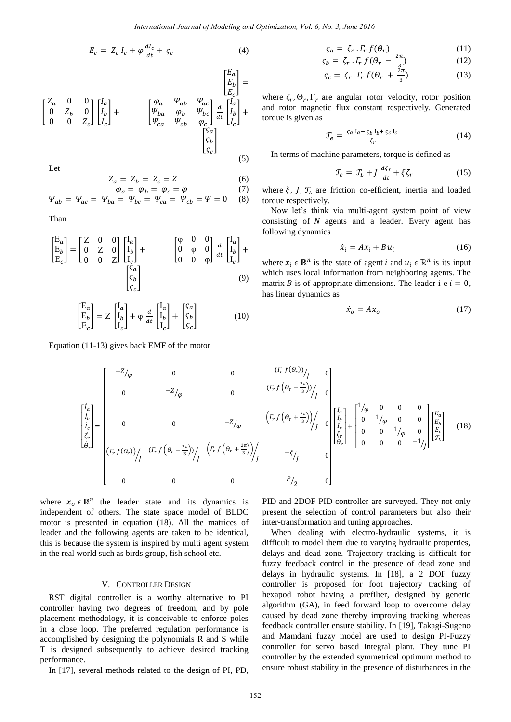$E_a$ 1

$$
E_c = Z_c I_c + \varphi \frac{di_c}{dt} + \varsigma_c \tag{4}
$$

$$
\begin{bmatrix} Z_a & 0 & 0 \ 0 & Z_b & 0 \ 0 & 0 & Z_c \end{bmatrix} \begin{bmatrix} I_a \ I_b \ I_c \end{bmatrix} + \begin{bmatrix} \varphi_a & \psi_{ab} & \psi_{ac} \\ \varphi_{ba} & \varphi_b & \psi_{bc} \\ \psi_{ca} & \psi_{cb} & \varphi_c \end{bmatrix} \frac{d}{dt} \begin{bmatrix} I_a \ I_b \ I_c \end{bmatrix} + \begin{bmatrix} \varphi_a & \psi_{ab} & \psi_{ac} \\ \varphi_{ba} & \varphi_{ba} & \varphi_{bc} \\ \varphi_{ca} & \varphi_{cb} & \varphi_{ca} \end{bmatrix} \begin{bmatrix} I_a \ I_b \ I_c \end{bmatrix} + \begin{bmatrix} \varphi_a & \varphi_{ab} & \varphi_{ac} \\ \varphi_{ba} & \varphi_{ba} & \varphi_{ca} \\ \varphi_{ba} & \varphi_{ba} & \varphi_{ca} \end{bmatrix} \tag{5}
$$

Let

$$
Z_a = Z_b = Z_c = Z \tag{6}
$$

$$
\varphi_a = \varphi_b = \varphi_c = \varphi \tag{7}
$$
  

$$
\varphi_{ab} = \varphi_{ac} = \varphi_{ba} = \varphi_{bc} = \varphi_{ca} = \varphi_{cb} = \varphi = 0 \tag{8}
$$

Than

$$
\begin{bmatrix} E_a \\ E_b \\ E_c \end{bmatrix} = \begin{bmatrix} Z & 0 & 0 \\ 0 & Z & 0 \\ 0 & 0 & Z \end{bmatrix} \begin{bmatrix} I_a \\ I_b \\ I_c \end{bmatrix} + \begin{bmatrix} \varphi & 0 & 0 \\ 0 & \varphi & 0 \\ 0 & 0 & \varphi \end{bmatrix} \frac{d}{dt} \begin{bmatrix} I_a \\ I_b \\ I_c \end{bmatrix} + \begin{bmatrix} S_a \\ S_b \\ S_c \end{bmatrix}
$$
 (9)

$$
\begin{bmatrix} E_a \\ E_b \\ E_c \end{bmatrix} = Z \begin{bmatrix} I_a \\ I_b \\ I_c \end{bmatrix} + \varphi \frac{d}{dt} \begin{bmatrix} I_a \\ I_b \\ I_c \end{bmatrix} + \begin{bmatrix} S_a \\ S_b \\ S_c \end{bmatrix}
$$
(10)

Equation (11-13) gives back EMF of the motor

 $\mathsf{L}$ I I I ł I

$$
\varsigma_a = \zeta_r \cdot \Gamma_r f(\theta_r) \tag{11}
$$

$$
\zeta_b = \zeta_r \cdot \Gamma_r f(\theta_r - \frac{2\pi}{3}) \tag{12}
$$

$$
\zeta_c = \zeta_r \cdot \Gamma_r f(\theta_r + \frac{2\pi}{3}) \tag{13}
$$

where  $\zeta_r, \Theta_r, \Gamma_r$  are angular rotor velocity, rotor position and rotor magnetic flux constant respectively. Generated torque is given as

$$
\mathcal{T}_e = \frac{\varsigma_a \, I_a + \varsigma_b \, I_b + \varsigma_c \, I_c}{\varsigma_r} \tag{14}
$$

In terms of machine parameters, torque is defined as

$$
\mathcal{T}_e = \mathcal{T}_L + J \frac{d\zeta_r}{dt} + \xi \zeta_r \tag{15}
$$

where  $\xi$ ,  $J$ ,  $T_L$  are friction co-efficient, inertia and loaded torque respectively.

Now let's think via multi-agent system point of view consisting of  $N$  agents and a leader. Every agent has following dynamics

$$
\dot{x}_i = Ax_i + Bu_i \tag{16}
$$

where  $x_i \in \mathbb{R}^n$  is the state of agent *i* and  $u_i \in \mathbb{R}^n$  is its input which uses local information from neighboring agents. The matrix B is of appropriate dimensions. The leader i-e  $i = 0$ , has linear dynamics as

$$
\dot{x}_o = Ax_o \tag{17}
$$

*International Journal of Modeling and Definition*, *Vol. 5. No. 3. June 2016* (11)  
\n
$$
E_c = Z_c I_c + \varphi \frac{di}{dz} + \varsigma_c
$$
 (4)  
\n $S_o = \zeta_r . F_r f(\vartheta_r - \frac{2\pi}{3})$  (12)  
\n $\zeta_c = \frac{1}{2} \zeta_c I_c + \varphi \frac{di}{dz} I_c$   
\n $\zeta_c = \frac{1}{2} \zeta_c I_c + \varphi \frac{di}{dz} I_c$   
\n $\zeta_c = \frac{1}{2} \zeta_c I_c + \varphi \frac{di}{dz} I_c$   
\n $\zeta_c = \frac{1}{2} \zeta_c I_c + \varphi \frac{di}{dz} I_c$   
\n $\zeta_c = \frac{1}{2} \zeta_c I_c + \varphi \frac{di}{dz} I_c$   
\n $\zeta_c = \frac{1}{2} \zeta_c I_c$  (14)  
\n $\zeta_c = \frac{1}{2} \zeta_c I_c$  (15)  
\n $\zeta_c = \frac{1}{2} \zeta_c I_c$  (16)  
\n $\zeta_c = \frac{1}{2} \zeta_c I_c$  (17)  
\n $\zeta_c = \frac{1}{2} \zeta_c I_c$  (18)  
\n $\zeta_c = \frac{1}{2} \zeta_c I_c$  (19)  
\n $\zeta_c = \frac{1}{2} \zeta_c I_c$  (11)  
\n $\zeta_c = \frac{1}{2} \zeta_c I_c$  (12)  
\n $\zeta_c = \frac{1}{2} \zeta_c I_c$  (13)  
\n $\zeta_c = \frac{1}{2} \zeta_c I_c$  (15)  
\n $\zeta_c = \frac{1}{2} \zeta_c I_c$  (16)  
\n $\zeta_c = \frac{1}{2} \zeta_c I_c$  (17)  
\n $\zeta_c = \frac{1}{2} \zeta_c I_c$  (18)  
\n $\zeta_c = \frac{1}{2} \zeta_c I_c$  (19)  
\n $\zeta_c = \frac{1}{2} \zeta_c I_c$  (11)  
\n $\zeta_c = \$ 

where  $x_0 \in \mathbb{R}^n$  the leader state and its dynamics is independent of others. The state space model of BLDC motor is presented in equation (18). All the matrices of leader and the following agents are taken to be identical, this is because the system is inspired by multi agent system in the real world such as birds group, fish school etc.

### V. CONTROLLER DESIGN

RST digital controller is a worthy alternative to PI controller having two degrees of freedom, and by pole placement methodology, it is conceivable to enforce poles in a close loop. The preferred regulation performance is accomplished by designing the polynomials R and S while T is designed subsequently to achieve desired tracking performance.

In [17], several methods related to the design of PI, PD,

PID and 2DOF PID controller are surveyed. They not only present the selection of control parameters but also their inter-transformation and tuning approaches.

When dealing with electro-hydraulic systems, it is difficult to model them due to varying hydraulic properties, delays and dead zone. Trajectory tracking is difficult for fuzzy feedback control in the presence of dead zone and delays in hydraulic systems. In [18], a 2 DOF fuzzy controller is proposed for foot trajectory tracking of hexapod robot having a prefilter, designed by genetic algorithm (GA), in feed forward loop to overcome delay caused by dead zone thereby improving tracking whereas feedback controller ensure stability. In [19], Takagi-Sugeno and Mamdani fuzzy model are used to design PI-Fuzzy controller for servo based integral plant. They tune PI controller by the extended symmetrical optimum method to ensure robust stability in the presence of disturbances in the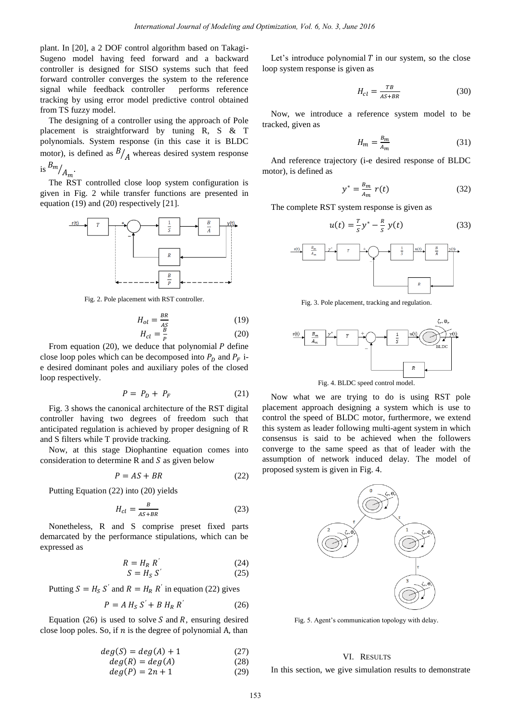plant. In [20], a 2 DOF control algorithm based on Takagi-Sugeno model having feed forward and a backward controller is designed for SISO systems such that feed forward controller converges the system to the reference signal while feedback controller performs reference tracking by using error model predictive control obtained from TS fuzzy model.

The designing of a controller using the approach of Pole placement is straightforward by tuning R, S & T polynomials. System response (in this case it is BLDC motor), is defined as  $\frac{B}{A}$  whereas desired system response

is 
$$
\frac{m}{A_m}
$$
.

The RST controlled close loop system configuration is given in Fig. 2 while transfer functions are presented in equation (19) and (20) respectively [21].



Fig. 2. Pole placement with RST controller.

$$
H_{ol} = \frac{BR}{AS}
$$
 (19)  

$$
H_{ol} = \frac{B}{2}
$$
 (20)

$$
H_{cl} = \frac{B}{P}
$$
 (20)

From equation (20), we deduce that polynomial P define close loop poles which can be decomposed into  $P_p$  and  $P_F$  ie desired dominant poles and auxiliary poles of the closed loop respectively.

$$
P = P_D + P_F \tag{21}
$$

Fig. 3 shows the canonical architecture of the RST digital controller having two degrees of freedom such that anticipated regulation is achieved by proper designing of R and S filters while T provide tracking.

Now, at this stage Diophantine equation comes into consideration to determine  $R$  and  $S$  as given below

$$
P = AS + BR \tag{22}
$$

Putting Equation (22) into (20) yields

$$
H_{cl} = \frac{B}{AS + BR} \tag{23}
$$

Nonetheless, R and S comprise preset fixed parts demarcated by the performance stipulations, which can be expressed as

$$
R = H_R R'
$$
 (24)

$$
S = H_S S' \tag{25}
$$

Putting  $S = H_S S'$  and  $R = H_R R'$  in equation (22) gives

$$
P = A H_S S' + B H_R R'
$$
 (26)

Equation (26) is used to solve  $S$  and  $R$ , ensuring desired close loop poles. So, if  $n$  is the degree of polynomial A, than

$$
deg(S) = deg(A) + 1 \tag{27}
$$

$$
deg(R) = deg(A)
$$
\n
$$
deg(P) = 2n + 1
$$
\n(29)

Let's introduce polynomial 
$$
T
$$
 in our system, so the close loop system response is given as

$$
H_{cl} = \frac{TB}{AS + BR} \tag{30}
$$

Now, we introduce a reference system model to be tracked, given as

$$
H_m = \frac{B_m}{A_m} \tag{31}
$$

And reference trajectory (i-e desired response of BLDC motor), is defined as

$$
y^* = \frac{B_m}{A_m} r(t) \tag{32}
$$

The complete RST system response is given as

$$
u(t) = \frac{T}{s}y^* - \frac{R}{s}y(t)
$$
 (33)



Fig. 3. Pole placement, tracking and regulation.



Fig. 4. BLDC speed control model.

Now what we are trying to do is using RST pole placement approach designing a system which is use to control the speed of BLDC motor, furthermore, we extend this system as leader following multi-agent system in which consensus is said to be achieved when the followers converge to the same speed as that of leader with the assumption of network induced delay. The model of proposed system is given in Fig. 4.



Fig. 5. Agent's communication topology with delay.

#### VI. RESULTS

In this section, we give simulation results to demonstrate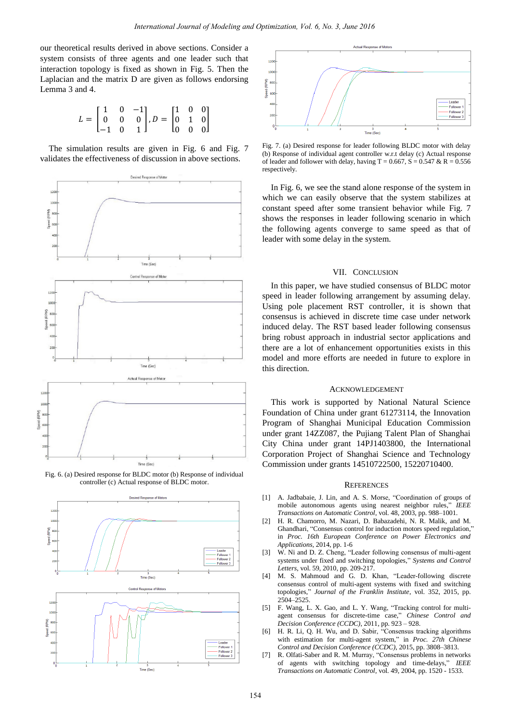our theoretical results derived in above sections. Consider a system consists of three agents and one leader such that interaction topology is fixed as shown in Fig. 5. Then the Laplacian and the matrix D are given as follows endorsing Lemma 3 and 4.

$$
L = \begin{bmatrix} 1 & 0 & -1 \\ 0 & 0 & 0 \\ -1 & 0 & 1 \end{bmatrix}, D = \begin{bmatrix} 1 & 0 & 0 \\ 0 & 1 & 0 \\ 0 & 0 & 0 \end{bmatrix}
$$

The simulation results are given in Fig. 6 and Fig. 7 validates the effectiveness of discussion in above sections.



Fig. 6. (a) Desired response for BLDC motor (b) Response of individual controller (c) Actual response of BLDC motor.





Fig. 7. (a) Desired response for leader following BLDC motor with delay (b) Response of individual agent controller w.r.t delay (c) Actual response of leader and follower with delay, having T = 0.667, S = 0.547 & R = 0.556 respectively.

In Fig. 6, we see the stand alone response of the system in which we can easily observe that the system stabilizes at constant speed after some transient behavior while Fig. 7 shows the responses in leader following scenario in which the following agents converge to same speed as that of leader with some delay in the system.

## VII. CONCLUSION

In this paper, we have studied consensus of BLDC motor speed in leader following arrangement by assuming delay. Using pole placement RST controller, it is shown that consensus is achieved in discrete time case under network induced delay. The RST based leader following consensus bring robust approach in industrial sector applications and there are a lot of enhancement opportunities exists in this model and more efforts are needed in future to explore in this direction.

#### ACKNOWLEDGEMENT

This work is supported by National Natural Science Foundation of China under grant 61273114, the Innovation Program of Shanghai Municipal Education Commission under grant 14ZZ087, the Pujiang Talent Plan of Shanghai City China under grant 14PJ1403800, the International Corporation Project of Shanghai Science and Technology Commission under grants 14510722500, 15220710400.

#### **REFERENCES**

- [1] A. Jadbabaie, J. Lin, and A. S. Morse, "Coordination of groups of mobile autonomous agents using nearest neighbor rules," *IEEE Transactions on Automatic Control*, vol. 48, 2003, pp. 988–1001.
- [2] [H. R. Chamorro,](http://ieeexplore.ieee.org/search/searchresult.jsp?searchWithin=%22Authors%22:.QT.H.%20R.%20Chamorro.QT.&newsearch=true) [M. Nazari,](http://ieeexplore.ieee.org/search/searchresult.jsp?searchWithin=%22Authors%22:.QT.M.%20Nazari.QT.&newsearch=true) [D. Babazadehi,](http://ieeexplore.ieee.org/search/searchresult.jsp?searchWithin=%22Authors%22:.QT.D.%20Babazadehi.QT.&newsearch=true) [N. R. Malik,](http://ieeexplore.ieee.org/search/searchresult.jsp?searchWithin=%22Authors%22:.QT.N.%20R.%20Malik.QT.&newsearch=true) and [M.](http://ieeexplore.ieee.org/search/searchresult.jsp?searchWithin=%22Authors%22:.QT.M.%20Ghandhari.QT.&newsearch=true)  [Ghandhari,](http://ieeexplore.ieee.org/search/searchresult.jsp?searchWithin=%22Authors%22:.QT.M.%20Ghandhari.QT.&newsearch=true) "Consensus control for induction motors speed regulation, in *Proc. 16th European Conference on Power Electronics and Applications,* 2014, pp. 1-6
- [3] W. Ni and D. Z. Cheng, "Leader following consensus of multi-agent systems under fixed and switching topologies," *Systems and Control Letters*, vol. 59, 2010, pp. 209-217.
- [4] M. S. Mahmoud and G. D. Khan, "Leader-following discrete consensus control of multi-agent systems with fixed and switching topologies," *Journal of the Franklin Institute*, vol. 352, 2015, pp. 2504–2525.
- [5] F. Wang, L. X. Gao, and L. Y. Wang, "Tracking control for multiagent consensus for discrete-time case," *Chinese Control and Decision Conference (CCDC)*, 2011, pp. 923 – 928.
- [6] H. R. Li, Q. H. Wu, and D. Sabir, "Consensus tracking algorithms with estimation for multi-agent system," in *Proc. [27th Chinese](http://ieeexplore.ieee.org/xpl/mostRecentIssue.jsp?punumber=7140653) Control and Decision Conference (CCDC)*, 2015, pp. 3808–3813.
- [7] R. Olfati-Saber and R. M. Murray, "Consensus problems in networks of agents with switching topology and time-delays," *IEEE Transactions on Automatic Control*, vol. 49, 2004, pp. 1520 - 1533.